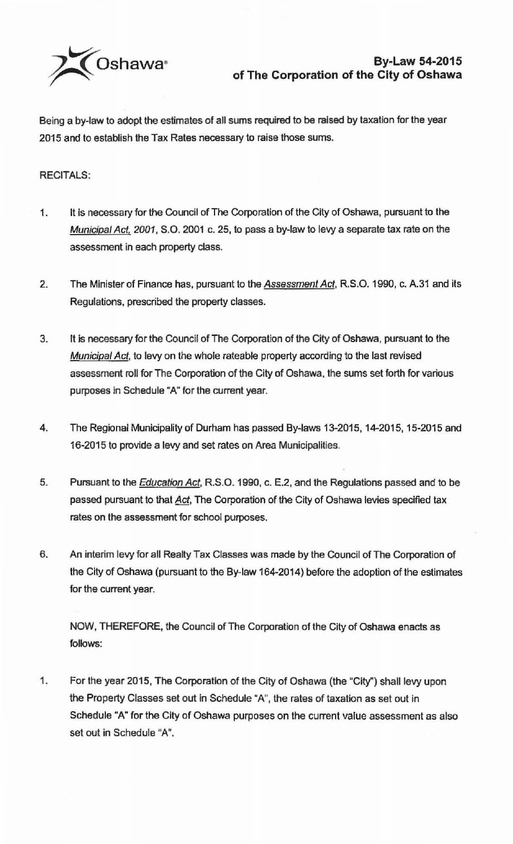

Being a by-law to adopt the estimates of all sums required to be raised by taxation for the year 2015 and to establish the Tax Rates necessary to raise those sums.

## RECITALS:

- 1. It is necessary for the Council of The Corporation of the City of Oshawa, pursuant to the Municipal Act, 2001, S.O. 2001 c. 25, to pass a by-law to levy a separate tax rate on the assessment in each property class.
- 2. The Minister of Finance has, pursuant to the Assessment Act, R.S.O. 1990, c. A.31 and its Regulations, prescribed the property classes.
- 3. It is necessary for the Council of The Corporation of the City of Oshawa, pursuant to the Municipal Act, to levy on the whole rateable property according to the last revised assessment roll for The Corporation of the City of Oshawa, the sums set forth for various purposes in Schedule "A" for the current year.
- 4. The Regional Municipality of Durham has passed By-laws 13-2015, 14-2015, 15-2015 and 16-2015 to provide a levy and set rates on Area Municipalities.
- 5. Pursuant to the **Education Act**, R.S.O. 1990, c. E.2, and the Regulations passed and to be passed pursuant to that Act, The Corporation of the City of Oshawa levies specified tax rates on the assessment for school purposes.
- 6. An interim levy for all Realty Tax Classes was made by the Council of The Corporation of the City of Oshawa (pursuant to the By-law 164-2014) before the adoption of the estimates for the current year.

NOW, THEREFORE, the Council of The Corporation of the City of Oshawa enacts as follows:

1. For the year 2015, The Corporation of the City of Oshawa (the "City") shall levy upon the Property Classes set out in Schedule "A", the rates of taxation as set out in Schedule "A" for the City of Oshawa purposes on the current value assessment as also set out in Schedule "A".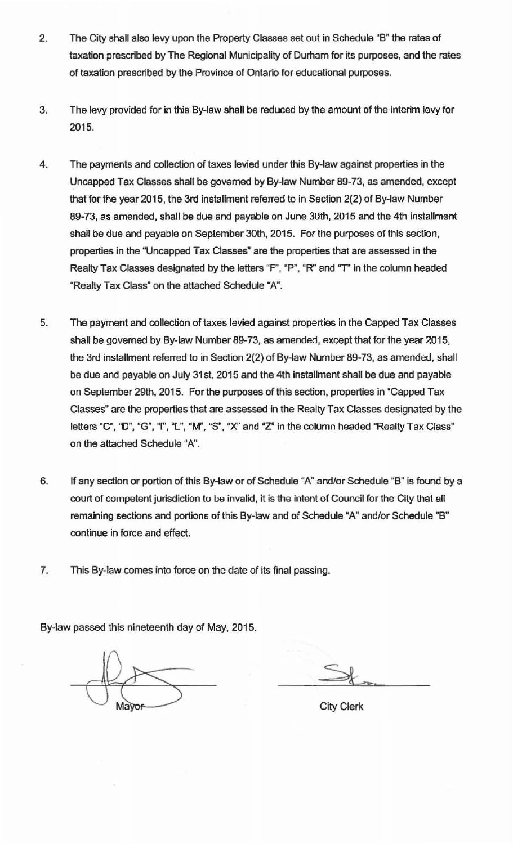- 2. The City shall also levy upon the Property Classes set out in Schedule "B" the rates of taxation prescribed by The Regional Municipality of Durham for its purposes, and the rates of taxation prescribed by the Province of Ontario for educational purposes.
- 3. The levy provided for in this By-law shall be reduced by the amount of the interim levy for 2015.
- 4. The payments and collection of taxes levied under this By-law against properties in the Uncapped Tax Classes shall be governed by By-law Number 89-73, as amended, except that for the year 2015, the 3rd installment referred to in Section 2(2) of By-law Number 89-73, as amended, shall be due and payable on June 30th, 2015 and the 4th installment shall be due and payable on September 3oth, 2015. For the purposes of this section, properties in the "Uncapped Tax Classes" are the properties that are assessed in the Realty Tax Classes designated by the letters "F", "P", "R" and "T' in the column headed ·Realty Tax Class" on the attached Schedule "A".
- 5. The payment and collection of taxes levied against properties in the Capped Tax Classes shall be governed by By-law Number 89-73, as amended, except that for the year 2015. the 3rd installment referred to in Section 2(2) of By-law Number 89-73, as amended, shall be due and payable on July 31st, 2015 and the 4th installment shall be due and payable on September 29th, 2015. For the purposes of this section, properties in "Capped Tax Classes" are the properties that are assessed in the Realty Tax Classes designated by the letters "C", "D", "G", "I", "L", "M", "S", "X" and "Z" in the column headed "Realty Tax Class" on the attached Schedule "A".
- 6. If any section or portion of thls By-law or of Schedule "A" and/or Schedule "B" is found by a court of competent jurisdiction to be invalid, it is the intent of Council for the City that all remaining sections and portions of this By-law and of Schedule "A" and/or Schedule "B" continue in force and effect.
- 7. This By-law comes into force on the date of its final passing.

By-law passed this nineteenth day of May, 2015.

City Clerk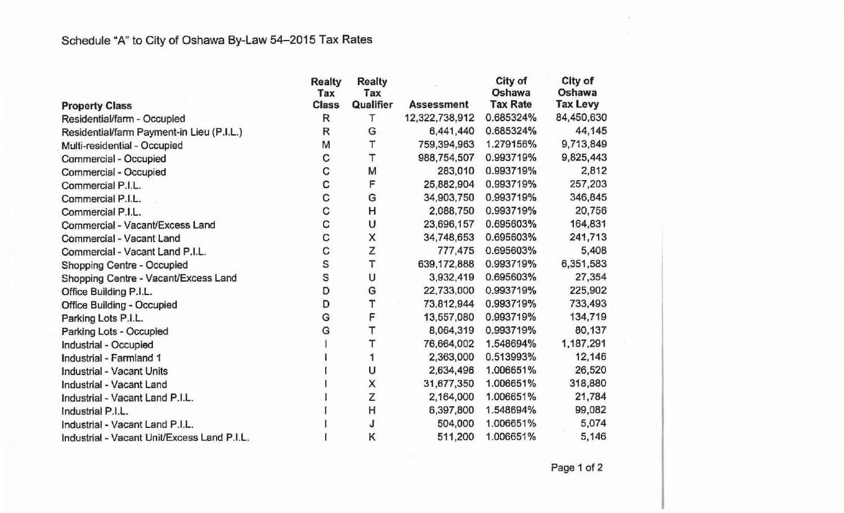| <b>Property Class</b>                       | <b>Realty</b><br>Tax<br><b>Class</b> | <b>Realty</b><br>Tax<br>Qualifier | <b>Assessment</b> | City of<br>Oshawa<br><b>Tax Rate</b> | City of<br>Oshawa<br><b>Tax Levy</b> |
|---------------------------------------------|--------------------------------------|-----------------------------------|-------------------|--------------------------------------|--------------------------------------|
| Residential/farm - Occupied                 | R                                    | т                                 | 12,322,738,912    | 0.685324%                            | 84,450,630                           |
| Residential/farm Payment-in Lieu (P.I.L.)   | R                                    | G                                 | 6,441,440         | 0.685324%                            | 44,145                               |
| Multi-residential - Occupied                | M                                    | т                                 | 759,394,963       | 1.279156%                            | 9,713,849                            |
| Commercial - Occupied                       | C                                    | T                                 | 988,754,507       | 0.993719%                            | 9,825,443                            |
| Commercial - Occupied                       | C                                    | М                                 | 283,010           | 0.993719%                            | 2,812                                |
| Commercial P.I.L.                           | C                                    | F                                 | 25,882,904        | 0.993719%                            | 257,203                              |
| Commercial P.I.L.                           | C                                    | G                                 | 34,903,750        | 0.993719%                            | 346,845                              |
| Commercial P.I.L.                           | C                                    | н                                 | 2,088,750         | 0.993719%                            | 20,756                               |
| Commercial - Vacant/Excess Land             | C                                    | U                                 | 23,696,157        | 0.695603%                            | 164,831                              |
| Commercial - Vacant Land                    | C                                    | X                                 | 34,748,653        | 0.695603%                            | 241,713                              |
| Commercial - Vacant Land P.I.L.             | C                                    | Z                                 | 777,475           | 0.695603%                            | 5,408                                |
| Shopping Centre - Occupied                  | S                                    | т                                 | 639,172,888       | 0.993719%                            | 6,351,583                            |
| Shopping Centre - Vacant/Excess Land        | S                                    | U                                 | 3,932,419         | 0.695603%                            | 27,354                               |
| Office Building P.I.L.                      | D                                    | G                                 | 22,733,000        | 0.993719%                            | 225,902                              |
| <b>Office Building - Occupied</b>           | D                                    | T                                 | 73,812,944        | 0.993719%                            | 733,493                              |
| Parking Lots P.I.L.                         | G                                    | F                                 | 13,557,080        | 0.993719%                            | 134,719                              |
| Parking Lots - Occupied                     | G                                    | Т                                 | 8,064,319         | 0.993719%                            | 80,137                               |
| Industrial - Occupied                       |                                      |                                   | 76,664,002        | 1.548694%                            | 1,187,291                            |
| Industrial - Farmland 1                     |                                      |                                   | 2,363,000         | 0.513993%                            | 12,146                               |
| <b>Industrial - Vacant Units</b>            |                                      | U                                 | 2,634,496         | 1.006651%                            | 26,520                               |
| Industrial - Vacant Land                    |                                      | X                                 | 31,677,350        | 1.006651%                            | 318,880                              |
| Industrial - Vacant Land P.I.L.             |                                      | Z                                 | 2,164,000         | 1.006651%                            | 21,784                               |
| Industrial P.I.L.                           |                                      | H                                 | 6,397,800         | 1.548694%                            | 99,082                               |
| Industrial - Vacant Land P.I.L.             |                                      | J                                 | 504,000           | 1.006651%                            | 5,074                                |
| Industrial - Vacant Unit/Excess Land P.I.L. |                                      | Κ                                 | 511,200           | 1.006651%                            | 5,146                                |

Page 1 of 2

 $\sim$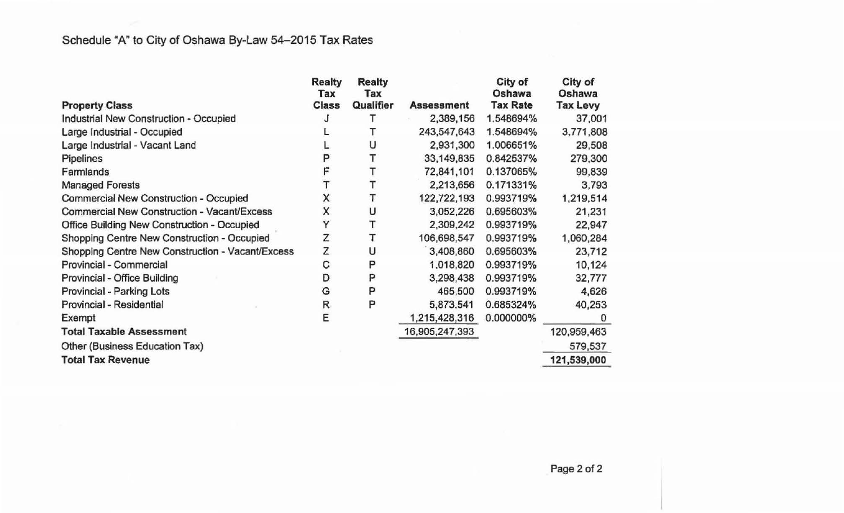|                                                    | <b>Realty</b><br>Tax | <b>Realty</b><br>Tax |                   | City of<br>Oshawa | City of<br>Oshawa |
|----------------------------------------------------|----------------------|----------------------|-------------------|-------------------|-------------------|
| <b>Property Class</b>                              | <b>Class</b>         | Qualifier            | <b>Assessment</b> | <b>Tax Rate</b>   | <b>Tax Levy</b>   |
| Industrial New Construction - Occupied             | J                    |                      | 2,389,156         | 1.548694%         | 37,001            |
| Large Industrial - Occupied                        |                      |                      | 243,547,643       | 1.548694%         | 3,771,808         |
| Large Industrial - Vacant Land                     |                      | U                    | 2,931,300         | 1.006651%         | 29,508            |
| Pipelines                                          | P                    |                      | 33,149,835        | 0.842537%         | 279,300           |
| Farmlands                                          | F                    |                      | 72,841,101        | 0.137065%         | 99,839            |
| <b>Managed Forests</b>                             |                      |                      | 2,213,656         | 0.171331%         | 3,793             |
| Commercial New Construction - Occupied             | X                    |                      | 122,722,193       | 0.993719%         | 1,219,514         |
| <b>Commercial New Construction - Vacant/Excess</b> | X                    | υ                    | 3,052,226         | 0.695603%         | 21,231            |
| Office Building New Construction - Occupied        | Υ                    |                      | 2,309,242         | 0.993719%         | 22,947            |
| Shopping Centre New Construction - Occupied        | Z                    |                      | 106,698,547       | 0.993719%         | 1,060,284         |
| Shopping Centre New Construction - Vacant/Excess   | Z                    | υ                    | 3,408,860         | 0.695603%         | 23,712            |
| Provincial - Commercial                            | С                    | Ρ                    | 1,018,820         | 0.993719%         | 10,124            |
| Provincial - Office Building                       | D                    | P                    | 3,298,438         | 0.993719%         | 32,777            |
| Provincial - Parking Lots                          | G                    | P                    | 465,500           | 0.993719%         | 4,626             |
| Provincial - Residential                           | R                    | P                    | 5,873,541         | 0.685324%         | 40,253            |
| Exempt                                             | Е                    |                      | 1,215,428,316     | 0.000000%         | $\bf{0}$          |
| <b>Total Taxable Assessment</b>                    |                      |                      | 16,905,247,393    |                   | 120,959,463       |
| Other (Business Education Tax)                     |                      |                      |                   |                   | 579,537           |
| <b>Total Tax Revenue</b>                           |                      |                      |                   |                   | 121,539,000       |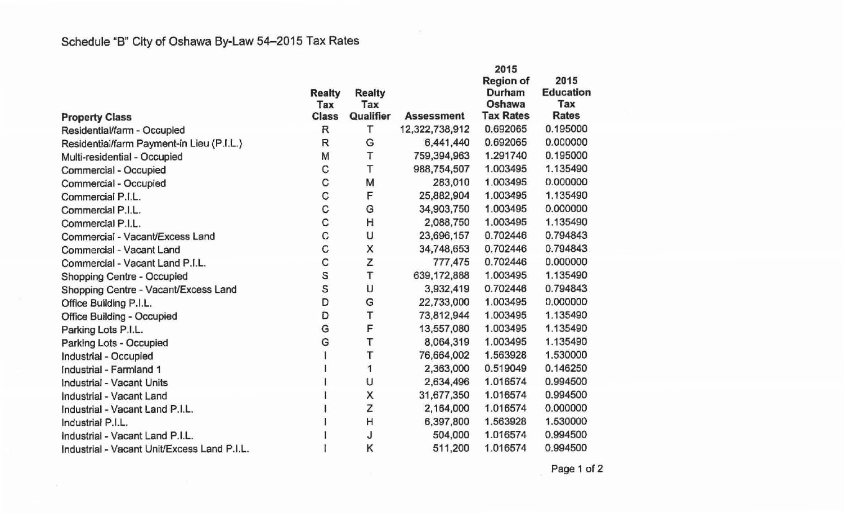$\langle \cdot \rangle_{\mathbb{R}}$ 

|                                             |               |               |                   | 2015             |                  |
|---------------------------------------------|---------------|---------------|-------------------|------------------|------------------|
|                                             |               |               |                   | <b>Region of</b> | 2015             |
|                                             | <b>Realty</b> | <b>Realty</b> |                   | Durham           | <b>Education</b> |
|                                             | Tax           | Tax           |                   | Oshawa           | Tax              |
| <b>Property Class</b>                       | <b>Class</b>  | Qualifier     | <b>Assessment</b> | <b>Tax Rates</b> | <b>Rates</b>     |
| Residential/farm - Occupied                 | R             | Τ             | 12,322,738,912    | 0.692065         | 0.195000         |
| Residential/farm Payment-in Lieu (P.I.L.)   | R             | G             | 6,441,440         | 0.692065         | 0.000000         |
| Multi-residential - Occupied                | M             | Т             | 759,394,963       | 1.291740         | 0.195000         |
| Commercial - Occupied                       | С             | T             | 988,754,507       | 1.003495         | 1.135490         |
| Commercial - Occupied                       | C             | M             | 283,010           | 1.003495         | 0.000000         |
| Commercial P.I.L.                           | C             | F             | 25,882,904        | 1.003495         | 1.135490         |
| Commercial P.I.L.                           | С             | G             | 34,903,750        | 1.003495         | 0.000000         |
| Commercial P.I.L.                           | С             | H             | 2,088,750         | 1.003495         | 1.135490         |
| Commercial - Vacant/Excess Land             | C             | U             | 23,696,157        | 0.702446         | 0.794843         |
| Commercial - Vacant Land                    | C             | Χ             | 34,748,653        | 0.702446         | 0.794843         |
| Commercial - Vacant Land P.I.L.             | C             | Z             | 777,475           | 0.702446         | 0.000000         |
| Shopping Centre - Occupied                  | S             | T             | 639,172,888       | 1.003495         | 1.135490         |
| Shopping Centre - Vacant/Excess Land        | S             | U             | 3,932,419         | 0.702446         | 0.794843         |
| Office Building P.I.L.                      | D             | G             | 22,733,000        | 1.003495         | 0.000000         |
| <b>Office Building - Occupied</b>           | D             | T             | 73,812,944        | 1.003495         | 1.135490         |
| Parking Lots P.I.L.                         | G             | F             | 13,557,080        | 1.003495         | 1.135490         |
| Parking Lots - Occupied                     | G             | T             | 8,064,319         | 1.003495         | 1.135490         |
| Industrial - Occupied                       |               | Т             | 76,664,002        | 1.563928         | 1.530000         |
| Industrial - Farmland 1                     |               | 1             | 2,363,000         | 0.519049         | 0.146250         |
| Industrial - Vacant Units                   |               | U             | 2,634,496         | 1.016574         | 0.994500         |
| Industrial - Vacant Land                    |               | X             | 31,677,350        | 1.016574         | 0.994500         |
| Industrial - Vacant Land P.I.L.             |               | Z             | 2,164,000         | 1.016574         | 0.000000         |
| Industrial P.I.L.                           |               | H             | 6,397,800         | 1.563928         | 1.530000         |
| Industrial - Vacant Land P.I.L.             |               | J             | 504,000           | 1.016574         | 0.994500         |
| Industrial - Vacant Unit/Excess Land P.I.L. |               | Κ             | 511,200           | 1.016574         | 0.994500         |